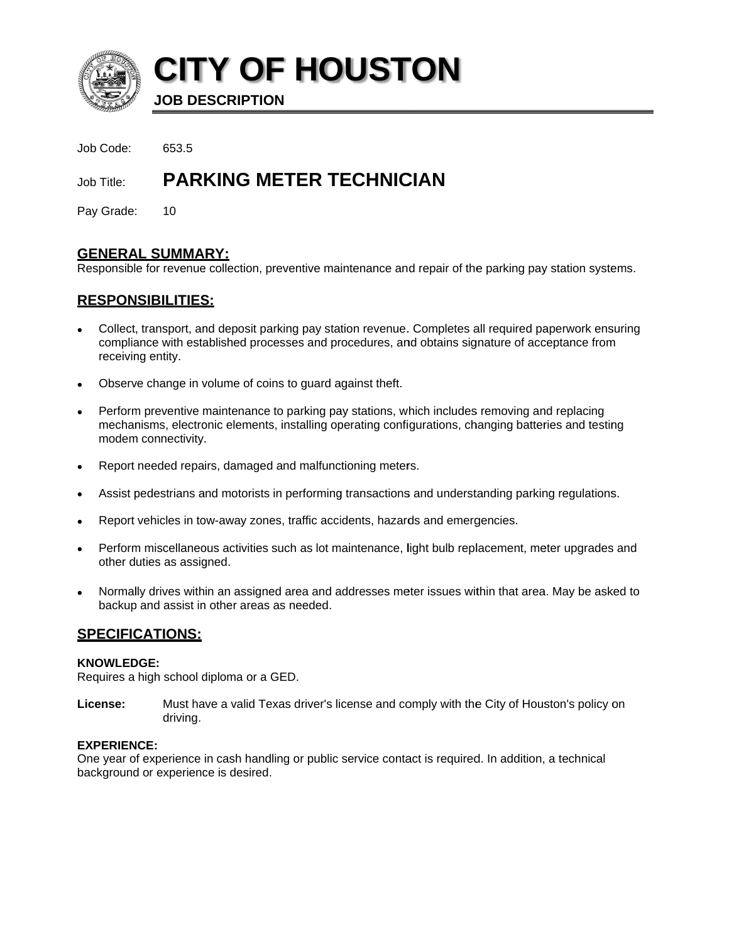

**CITY OF HOUSTON** 

**JOB DESCRIPTION** 

Job Code: 653.5

#### **PARKING METER TECHNICIAN** Job Title:

Pay Grade: 10

## <u> GENERAL SUMMARY:</u>

Responsible for revenue collection, preventive maintenance and repair of the parking pay station systems.

# **RESPONSIBILITIES:**

- Collect, transport, and deposit parking pay station revenue. Completes all required paperwork ensuring compliance with established processes and procedures, and obtains signature of acceptance from receiving entity.
- Observe change in volume of coins to quard against theft.
- Perform preventive maintenance to parking pay stations, which includes removing and replacing mechanisms, electronic elements, installing operating configurations, changing batteries and testing modem connectivity.
- Report needed repairs, damaged and malfunctioning meters.
- Assist pedestrians and motorists in performing transactions and understanding parking regulations.
- Report vehicles in tow-away zones, traffic accidents, hazards and emergencies.
- Perform miscellaneous activities such as lot maintenance, light bulb replacement, meter upgrades and other duties as assigned.
- Normally drives within an assigned area and addresses meter issues within that area. May be asked to backup and assist in other areas as needed.

### **SPECIFICATIONS:**

### **KNOWLEDGE:**

Requires a high school diploma or a GED.

Must have a valid Texas driver's license and comply with the City of Houston's policy on License: driving.

### **EXPERIENCE:**

One year of experience in cash handling or public service contact is required. In addition, a technical background or experience is desired.